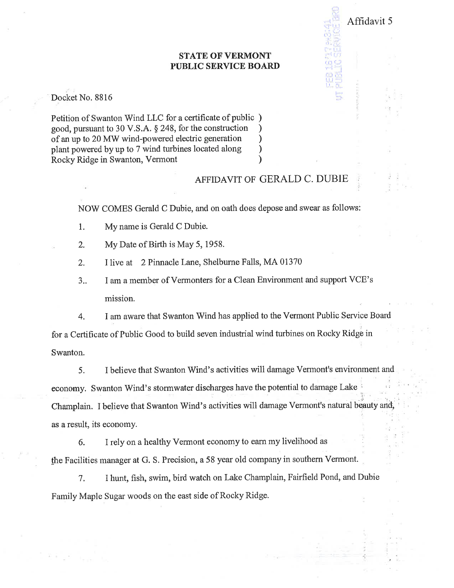## **STATE OF VERMONT PUBLIC SERVICE BOARD**

Docket No. 8816

Petition of Swanton Wind LLC for a certificate of public) good, pursuant to 30 V.S.A. § 248, for the construction of an up to 20 MW wind-powered electric generation plant powered by up to 7 wind turbines located along Rocky Ridge in Swanton, Vermont

## AFFIDAVIT OF GERALD C. DUBIE

Affidavit 5

NOW COMES Gerald C Dubie, and on oath does depose and swear as follows:

My name is Gerald C Dubie.  $1.$ 

2. My Date of Birth is May 5, 1958.

- $2.$ I live at 2 Pinnacle Lane, Shelburne Falls, MA 01370
- I am a member of Vermonters for a Clean Environment and support VCE's  $3_{1}$ mission.

I am aware that Swanton Wind has applied to the Vermont Public Service Board 4. for a Certificate of Public Good to build seven industrial wind turbines on Rocky Ridge in Swanton.

I believe that Swanton Wind's activities will damage Vermont's environment and 5. economy. Swanton Wind's stormwater discharges have the potential to damage Lake Champlain. I believe that Swanton Wind's activities will damage Vermont's natural beauty and, as a result, its economy.

I rely on a healthy Vermont economy to earn my livelihood as 6. the Facilities manager at G. S. Precision, a 58 year old company in southern Vermont.

7. I hunt, fish, swim, bird watch on Lake Champlain, Fairfield Pond, and Dubie Family Maple Sugar woods on the east side of Rocky Ridge.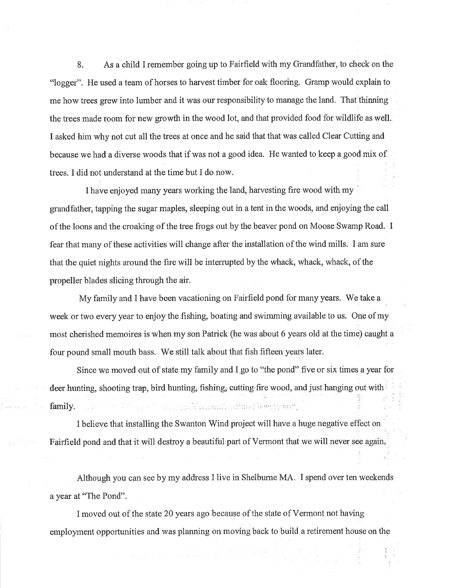8. As a child I remember going up to Fairfield with my Grandfather, to check on the "logger". He used a team of horses to harvest timber for oak flooring. Gramp would explain to me how trees grew into lumber and it was our responsibility to manage the land. That thinning the trees made room for new growth in the wood lot, and that provided food for wildlife as well. I asked him why not cut all the trees at once and he said that that was called Clear Cutting and because we had a diverse woods that if was not a good idea. He wanted to keep a good mix of trees. I did not understand at the time but I do now.

I have enjoyed many years working the land, harvesting fire wood with my grandfather, tapping the sugar maples, sleeping out in a tent in the woods, and enjoying the call of the loons and the croaking of the tree frogs out by the beaver pond on Moose Swamp Road. I fear that many of these activities will change after the installation of the wind mills. I am sure that the quiet nights around the fire will be intemrpted by the whack, whack, whack, of the propeller blades slicing through the air.

My family and I have been vacationing on Fairfield pond for many yeârs. We take a week or two every year to enjoy the fishing, boating and swimming available to us. One of my most cherished memoires is when my son Patrick (he was about 6 years old at the time) caught a four pound small mouth bass. We still talk about that fish fifteen years later. :

Since we moved out of state my family and I go to "the pond" five or six times a year for deer hunting, shooting trap, bird hunting, fishing, cutting fire wood, and just hanging out with  $\frac{1}{2}$ ,,,, family. : ,',". 'ì: '. . ,

I believe that installing the Swanton Wind project will have a huge negative effect on Fairfield pond and that it will destroy a beautiful part of Vermont that we will never see again,

Although you can see by my address I live in Shelburne MA. I spend over ten weekends a year at "The Pond".

I moved out of the state 20 years ago because of the state of Vermont not having employnent opportunities and was planning on moving back to build a retirement house on the